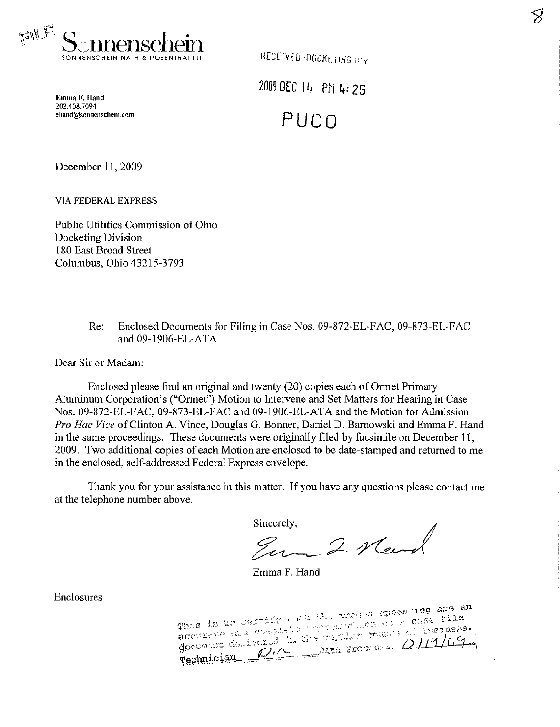

 $\delta$ 

÷

Emma F. Hand 202.408.7094 ehand@sonnenschein.com 2009 DEC 14 PM 4:25 PUCO

December 11,2009

VIA FEDERAL EXPRESS

Public Utilities Commission of Ohio Docketing Division 180 East Broad Street Columbus, Ohio 43215-3793

> Re: Enclosed Documents for Filing in Case Nos. 09-872-EL-FAC, 09-873-EL-FAC and 09-1906-EL-ATA

Dear Sir or Madam:

Enclosed please fmd an original and twenty (20) copies each of Ormet Primary Aluminum Corporation's ("Ormet") Motion to Intervene and Set Matters for Hearing in Case Nos. 09-872-EL-FAC, 09-873-EL-FAC and 09-1906-EL-ATA and the Motion for Admission Pro Hac Vice of Clinton A. Vince, Douglas G. Bonner, Daniel D. Barnowski and Emma F. Hand in the same proceedings. These documents were originally filed by facsimile on December 11, 2009. Two additional copies of each Motion are enclosed to be date-stamped and returned to me in the enclosed, self-addressed Federal Express envelope.

Thank you for your assistance in this matter. If you have any questions please contact me at the telephone number above.

Sincerely,

Em 2. News

Emma F. Hand

Enclosures

This is to certify the the images appearing are an accurate and complete the magnetic of a case file xcian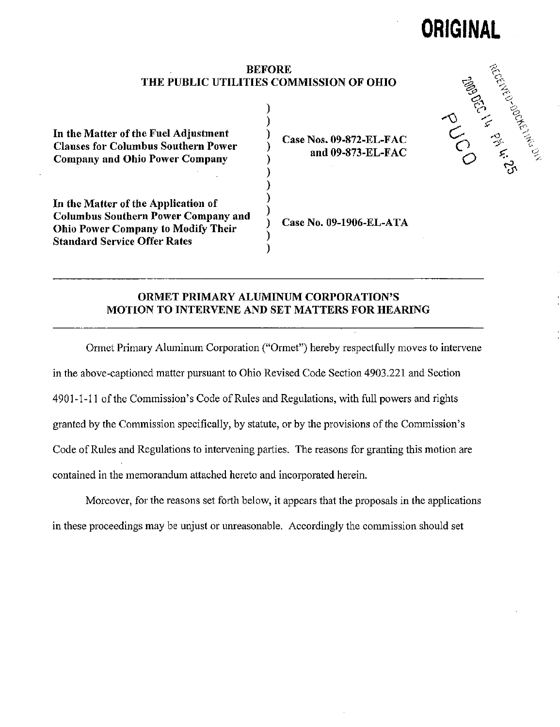# ORIGINAL

## BEFORE THE PUBLIC UTILITIES COMMISSION OF OHIO

 $\mathbf{)}$ 

In the Matter of the Fuel Adjustment Clauses for Columbus Southern Power Company and Ohio Power Company

In the Matter of the Application of Columbus Southern Power Company and Ohio Power Company to Modify Their Standard Service Offer Rates

Case Nos. 09-872-EL-FAC and 09-873-EL-FAC

Case No. 09-1906-EL-ATA

# ORMET PRIMARY ALUMINUM CORPORATION'S MOTION TO INTERVENE AND SET MATTERS FOR HEARING

 $\mathcal{E}$ 

Ormet Primary Aluminum Corporation ("Ormet") hereby respectfiilly moves to intervene in the above-captioned matter pursuant to Ohio Revised Code Section 4903.221 and Section 4901-1-11 of the Commission's Code of Rules and Regulations, with full powers and rights granted by the Commission specifically, by statute, or by the provisions of the Commission's Code of Rules and Regulations to intervening parties. The reasons for granting this motion are contained in the memorandum attached hereto and incorporated herein.

Moreover, for the reasons set forth below, it appears that the proposals in the applications in these proceedings may be unjust or unreasonable. Accordingly the commission should set

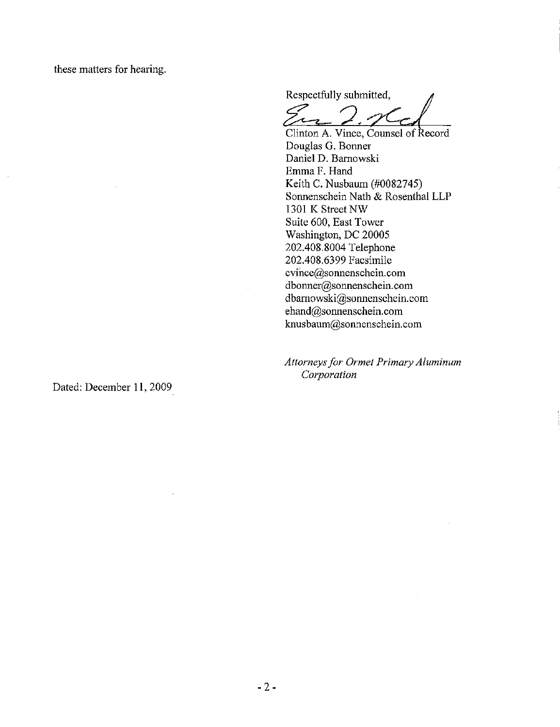these matters for hearing.

Respectfully submitted,

 $\mathcal{A}$ 

Clinton A. Vince, Counsel of Record Douglas G. Bonner Daniel D. Barnowski Emma F. Hand Keith C. Nusbaum (#0082745) Sonnenschein Nath & Rosenthal LLP 1301 K Street NW Suite 600, East Tower Washington, DC 20005 202.408.8004 Telephone 202.408.6399 Facsimile [cvihce@sonnenschein.com](mailto:cvihce@sonnenschein.com)  dbonner@sonnenschein. com dbarnowski@sonnenschein. com ehand@sonnenschein.com [knusbaum@sonnenschein.com](mailto:knusbaum@sonnenschein.com) 

Attorneys for Ormet Primary Aluminum Corporation

Dated: December 11, 2009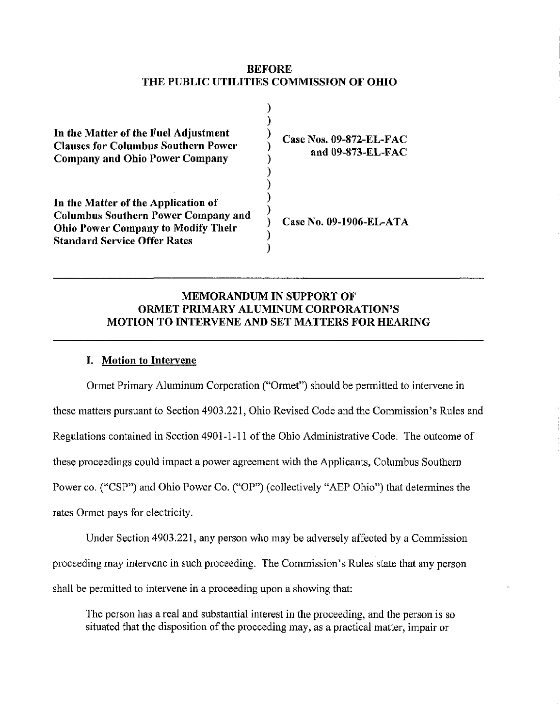## BEFORE THE PUBLIC UTILITIES COMMISSION OF OHIO

⟩

| In the Matter of the Fuel Adjustment       |  |
|--------------------------------------------|--|
| <b>Clauses for Columbus Southern Power</b> |  |
| <b>Company and Ohio Power Company</b>      |  |
|                                            |  |
|                                            |  |

In the Matter of the Application of Columbus Southern Power Company and Ohio Power Company to Modify Their Standard Service Offer Rates

Case Nos. 09-872-EL-FAC and 09-873-EL-FAC

Case No. 09-1906-EL-ATA

# MEMORANDUM IN SUPPORT OF ORMET PRIMARY ALUMINUM CORPORATION'S MOTION TO INTERVENE AND SET MATTERS FOR HEARING

# I. Motion to Intervene

Ormet Primary Aluminum Corporation ("Ormet") should be permitted to intervene in these matters pursuant to Section 4903.221, Ohio Revised Code and the Commission's Rules and Regulations contained in Section 4901-1-11 of the Ohio Administrative Code. The outcome of these proceedings could impact a power agreement with the Applicants, Columbus Southern Power co. ("CSP") and Ohio Power Co. ("OP") (collectively "AEP Ohio") that determines the rates Ormet pays for electricity.

Under Section 4903.221, any person who may be adversely affected by a Commission proceeding may intervene in such proceeding. The Commission's Rules state that any person shall be permitted to intervene in a proceeding upon a showing that:

The person has a real and substantial interest in the proceeding, and the person is so situated that the disposition of the proceeding may, as a practical matter, impair or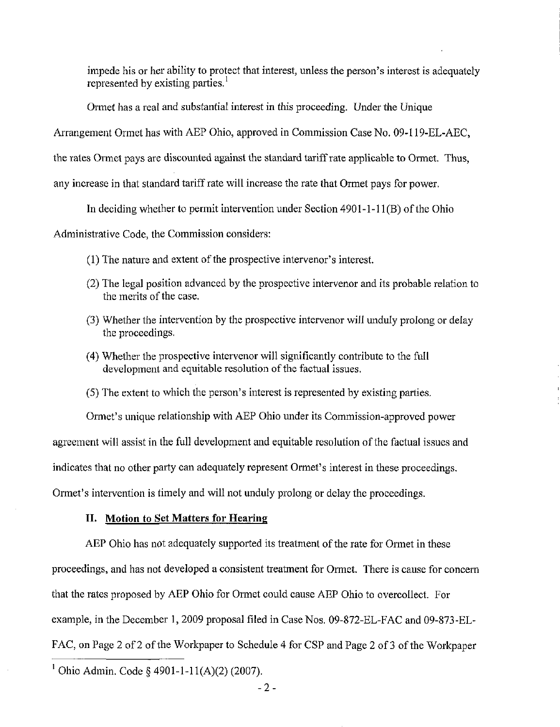impede his or her ability to protect that interest, unless the person's interest is adequately represented by existing parties.<sup>1</sup>

Ormet has a real and substantial interest in this proceeding. Under the Unique

Arrangement Ormet has with AEP Ohio, approved in Commission Case No. 09-119-EL-AEC,

the rates Ormet pays are discounted against the standard tariff rate applicable to Ormet. Thus,

any increase in that standard tariff rate will increase the rate that Ormet pays for power.

In deciding whether to permit intervention under Section 4901-1-11(B) of the Ohio

Administrative Code, the Commission considers:

- (1) The nature and extent of the prospective intervenor's interest.
- (2) The legal position advanced by the prospective intervenor and its probable relation to the merits of the case.
- (3) Whether the intervention by the prospective intervenor will unduly prolong or delay the proceedings.
- (4) Whether the prospective intervenor will significantly contribute to the full development and equitable resolution of the factual issues.
- (5) The extent to which the person's interest is represented by existing parties.

Ormet's unique relationship with AEP Ohio under its Commission-approved power

agreement will assist in the full development and equitable resolution of the factual issues and

indicates that no other party can adequately represent Ormet's interest in these proceedings.

Ormet's intervention is timely and will not unduly prolong or delay the proceedings.

#### II. Motion to Set Matters for Hearing

AEP Ohio has not adequately supported its treatment of the rate for Ormet in these proceedings, and has not developed a consistent treatment for Ormet. There is cause for concern that the rates proposed by AEP Ohio for Ormet could cause AEP Ohio to overeollect. For example, in the December 1, 2009 proposal filed in Case Nos. 09-872-EL-FAC and 09-873-EL-FAC, on Page 2 of 2 of the Workpaper to Schedule 4 for CSP and Page 2 of 3 of the Workpaper

<sup>1</sup> Ohio Admin. Code § 4901-1-11(A)(2) (2007).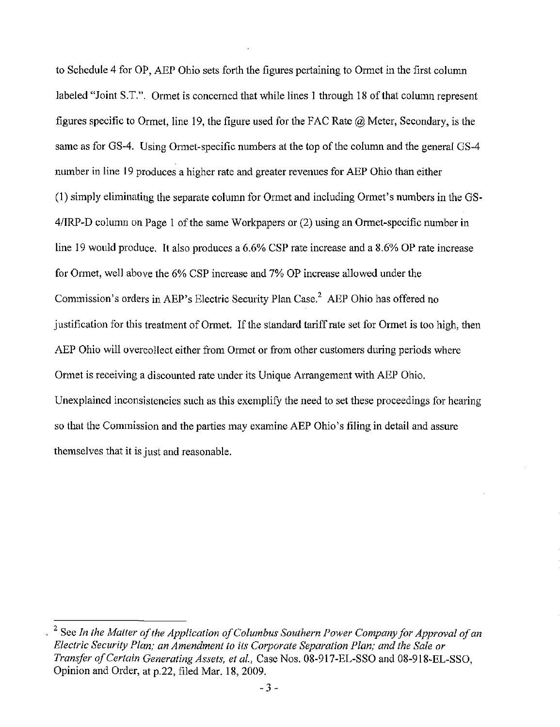to Schedule 4 for OP, AEP Ohio sets forth the figures pertaining to Ormet in the first column labeled "Joint S.T.". Ormet is concerned that while lines 1 through 18 of that column represent figures specific to Ormet, line 19, the figure used for the FAC Rate  $\hat{\omega}$  Meter, Secondary, is the same as for GS-4. Using Ormet-specific numbers at the top of the column and the general GS-4 number in line 19 produces a higher rate and greater revenues for AEP Ohio than either (1) simply eliminating the separate column for Ormet and including Ormet's numbers in the GS-4/IRP-D column on Page 1 of the same Workpapers or (2) using an Ormet-specific number in line 19 would produce. It also produces a 6.6% CSP rate increase and a 8.6% OP rate increase for Ormet, well above the 6% CSP increase and 7% OP increase allowed under the Commission's orders in AEP's Electric Security Plan Case.<sup>2</sup> AEP Ohio has offered no justification for this treatment of Ormet. If the standard tariff rate set for Ormet is too high, then AEP Ohio will overeollect either from Ormet or from other customers during periods where Ormet is receiving a discounted rate under its Unique Arrangement with AEP Ohio. Unexplained inconsistencies such as this exemplify the need to set these proceedings for hearing so that the Commission and the parties may examine AEP Ohio's filing in detail and assure themselves that it is just and reasonable.

 $^{2}$  See In the Matter of the Application of Columbus Southern Power Company for Approval of an Electric Security Plan; an Amendment to its Corporate Separation Plan; and the Sale or Transfer of Certain Generating Assets, et al, Case Nos. 08-917-EL-SSO and 08-918-EL-SSO, Opinion and Order, at p.22, filed Mar. 18, 2009.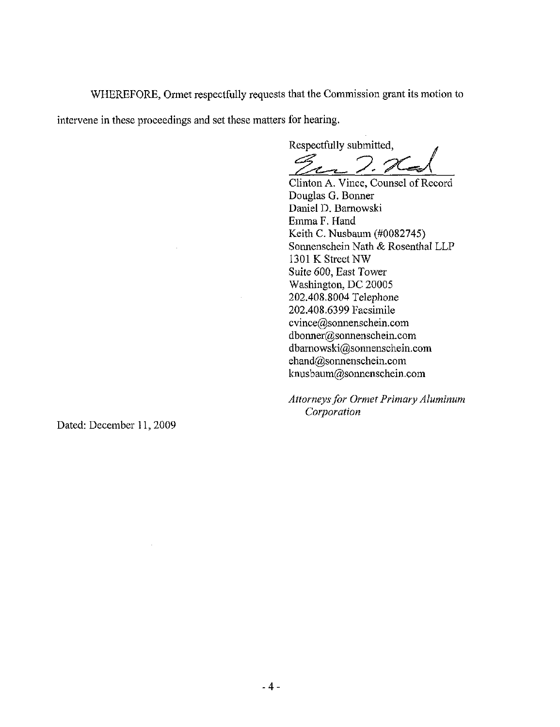WHEREFORE, Ormet respectfully requests that the Commission grant its motion to intervene in these proceedings and set these matters for hearing.

Respectfully submitted,

Clinton A. Vince, Counsel of Record Douglas G, Bormer Daniel D. Barnowski Emma F. Hand Keith C. Nusbaum (#0082745) Sonnenschein Nath & Rosenthal LLP 1301 K Street NW Suite 600, East Tower Washington, DC 20005 202.408.8004 Telephone 202.408.6399 Facsimile [cvince@sormenschein.com](mailto:cvince@sormenschein.com)  [dbonner@sonnenschein.com](mailto:dbonner@sonnenschein.com)  [dbarnowski@sonnenschein.com](mailto:dbarnowski@sonnenschein.com)  [ehand@sormenschein.com](mailto:ehand@sormenschein.com)  [knusbaum@sonnenschein.com](mailto:knusbaum@sonnenschein.com) 

Attorneys for Ormet Primary Aluminum Corporation

Dated: December 11,2009